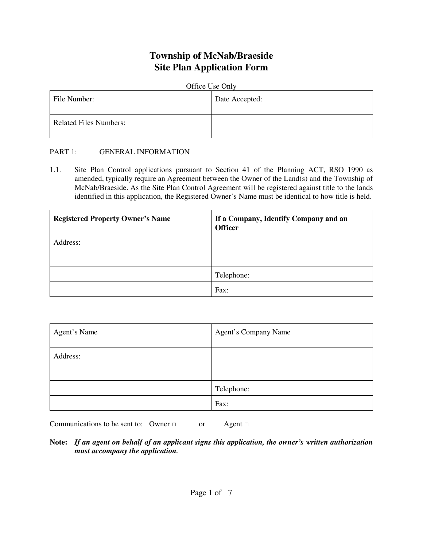# **Township of McNab/Braeside Site Plan Application Form**

| Office Use Only               |                |  |  |
|-------------------------------|----------------|--|--|
| File Number:                  | Date Accepted: |  |  |
| <b>Related Files Numbers:</b> |                |  |  |

### PART 1: GENERAL INFORMATION

1.1. Site Plan Control applications pursuant to Section 41 of the Planning ACT, RSO 1990 as amended, typically require an Agreement between the Owner of the Land(s) and the Township of McNab/Braeside. As the Site Plan Control Agreement will be registered against title to the lands identified in this application, the Registered Owner's Name must be identical to how title is held.

| <b>Registered Property Owner's Name</b> | If a Company, Identify Company and an<br><b>Officer</b> |
|-----------------------------------------|---------------------------------------------------------|
| Address:                                |                                                         |
|                                         | Telephone:                                              |
|                                         | Fax:                                                    |

| Agent's Name | <b>Agent's Company Name</b> |
|--------------|-----------------------------|
| Address:     |                             |
|              | Telephone:                  |
|              | Fax:                        |

Communications to be sent to: Owner  $\Box$  or Agent  $\Box$ 

**Note:** *If an agent on behalf of an applicant signs this application, the owner's written authorization must accompany the application.*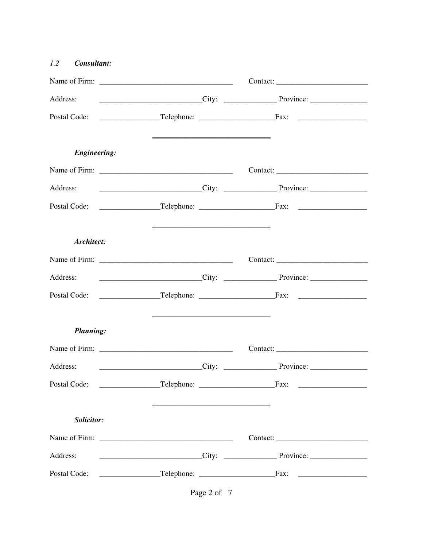| 1.2<br>Consultant:  |                           |                             |
|---------------------|---------------------------|-----------------------------|
|                     |                           |                             |
| Address:            |                           | $City:$ Province:           |
|                     |                           |                             |
| <b>Engineering:</b> |                           |                             |
|                     |                           |                             |
| Address:            |                           | $City:$ Province: Province: |
|                     |                           |                             |
| Architect:          |                           |                             |
|                     |                           |                             |
| Address:            |                           |                             |
|                     |                           |                             |
| <b>Planning:</b>    |                           |                             |
|                     |                           |                             |
| Address:            | <b>Example 2018</b> City: | Province:                   |
|                     |                           |                             |
| Solicitor:          |                           |                             |
|                     |                           |                             |
| Address:            |                           |                             |
| Postal Code:        |                           |                             |

Page 2 of 7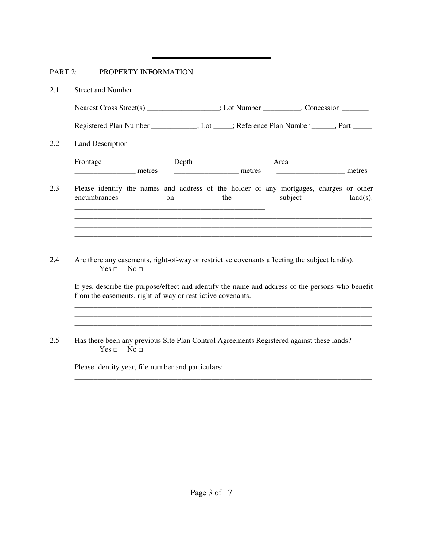## PART 2: PROPERTY INFORMATION

| 2.1 |                                                                                                                                                                |                        |
|-----|----------------------------------------------------------------------------------------------------------------------------------------------------------------|------------------------|
|     | Nearest Cross Street(s) _______________; Lot Number _________, Concession _______                                                                              |                        |
|     | Registered Plan Number ____________, Lot ____; Reference Plan Number _____, Part ____                                                                          |                        |
| 2.2 | <b>Land Description</b>                                                                                                                                        |                        |
|     | Frontage<br>Depth<br>Area<br><u>_______________________</u> metres<br><u>__________________</u> metres                                                         |                        |
| 2.3 | Please identify the names and address of the holder of any mortgages, charges or other<br>encumbrances<br>the<br>on                                            | subject<br>$land(s)$ . |
| 2.4 | Are there any easements, right-of-way or restrictive covenants affecting the subject land(s).<br>$Yes \Box$<br>No <sub>1</sub>                                 |                        |
|     | If yes, describe the purpose/effect and identify the name and address of the persons who benefit<br>from the easements, right-of-way or restrictive covenants. |                        |
| 2.5 | Has there been any previous Site Plan Control Agreements Registered against these lands?<br>Yes ⊡<br>No <sub>1</sub>                                           |                        |
|     | Please identity year, file number and particulars:                                                                                                             |                        |
|     |                                                                                                                                                                |                        |

*\_\_\_\_\_\_\_\_\_\_\_\_\_\_\_\_\_\_\_\_\_\_\_\_\_\_\_\_\_\_\_* 

*\_\_\_\_\_\_\_\_\_\_\_\_\_\_\_\_\_\_\_\_\_\_\_\_\_\_\_\_\_\_\_\_\_\_\_\_\_\_\_\_\_\_\_\_\_\_\_\_\_\_\_\_\_\_\_\_\_\_\_\_\_\_\_\_\_\_\_\_\_\_\_\_\_\_\_\_\_\_ \_\_\_\_\_\_\_\_\_\_\_\_\_\_\_\_\_\_\_\_\_\_\_\_\_\_\_\_\_\_\_\_\_\_\_\_\_\_\_\_\_\_\_\_\_\_\_\_\_\_\_\_\_\_\_\_\_\_\_\_\_\_\_\_\_\_\_\_\_\_\_\_\_\_\_\_\_\_*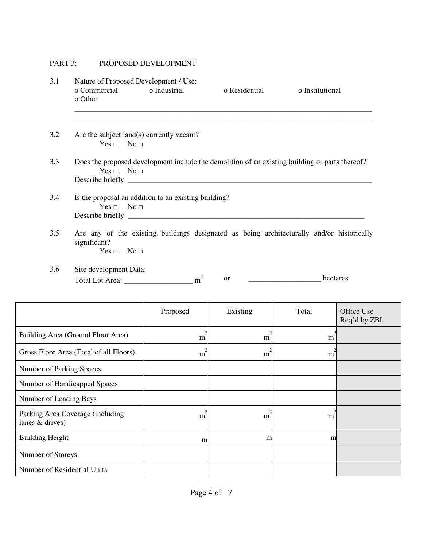## PART 3: PROPOSED DEVELOPMENT

| Nature of Proposed Development / Use:<br>o Industrial                                                                           | o Residential | o Institutional |                                                                                                |  |  |  |
|---------------------------------------------------------------------------------------------------------------------------------|---------------|-----------------|------------------------------------------------------------------------------------------------|--|--|--|
| Are the subject land(s) currently vacant?                                                                                       |               |                 |                                                                                                |  |  |  |
|                                                                                                                                 |               |                 |                                                                                                |  |  |  |
| Is the proposal an addition to an existing building?<br>$Yes \Box No \Box$<br>Describe briefly:                                 |               |                 |                                                                                                |  |  |  |
| Are any of the existing buildings designated as being architecturally and/or historically<br>significant?<br>$Yes \Box No \Box$ |               |                 |                                                                                                |  |  |  |
| 3.6<br>Site development Data:<br>2<br>hectares<br><sub>or</sub><br>$m^2$                                                        |               |                 |                                                                                                |  |  |  |
| Proposed                                                                                                                        | Existing      | Total           | Office Use<br>Req'd by ZBL                                                                     |  |  |  |
| m                                                                                                                               | m             | m               |                                                                                                |  |  |  |
| m                                                                                                                               | m             | m               |                                                                                                |  |  |  |
|                                                                                                                                 |               |                 |                                                                                                |  |  |  |
|                                                                                                                                 |               |                 |                                                                                                |  |  |  |
|                                                                                                                                 |               |                 | Does the proposed development include the demolition of an existing building or parts thereof? |  |  |  |

| Number of Handicapped Spaces                          |   |   |   |  |
|-------------------------------------------------------|---|---|---|--|
| Number of Loading Bays                                |   |   |   |  |
| Parking Area Coverage (including<br>lanes $&$ drives) | m | m | m |  |
| <b>Building Height</b>                                | m | m | m |  |
| Number of Storeys                                     |   |   |   |  |
| Number of Residential Units                           |   |   |   |  |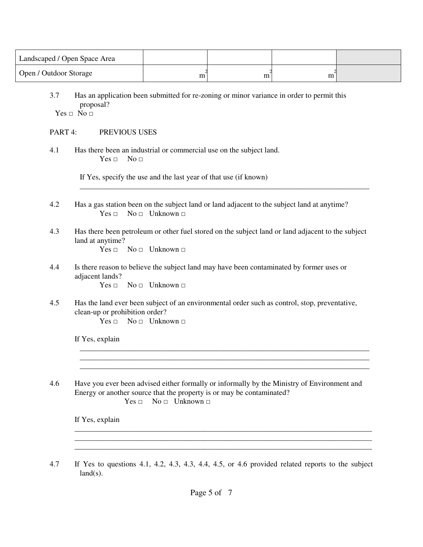| Landscaped / Open Space Area |   |   |  |
|------------------------------|---|---|--|
| Open / Outdoor Storage       | m | m |  |

3.7 Has an application been submitted for re-zoning or minor variance in order to permit this proposal?

 $Yes \Box No \Box$ 

#### PART 4: PREVIOUS USES

4.1 Has there been an industrial or commercial use on the subject land.  $Yes \Box \qquad No \Box$ 

If Yes, specify the use and the last year of that use (if known)

4.2 Has a gas station been on the subject land or land adjacent to the subject land at anytime?  $Yes \Box \qquad No \Box \qquad Unknown \Box$ 

### 4.3 Has there been petroleum or other fuel stored on the subject land or land adjacent to the subject land at anytime?

\_\_\_\_\_\_\_\_\_\_\_\_\_\_\_\_\_\_\_\_\_\_\_\_\_\_\_\_\_\_\_\_\_\_\_\_\_\_\_\_\_\_\_\_\_\_\_\_\_\_\_\_\_\_\_\_\_\_\_\_\_\_\_\_\_\_\_\_\_\_\_\_\_\_\_\_

 $Yes \Box \qquad No \Box \qquad Unknown \Box$ 

4.4 Is there reason to believe the subject land may have been contaminated by former uses or adjacent lands?

 $Yes \sqcap No \sqcap Unknown \sqcap$ 

4.5 Has the land ever been subject of an environmental order such as control, stop, preventative, clean-up or prohibition order?

 $Yes \sqcap No \sqcap Unknown \sqcap$ 

If Yes, explain

4.6 Have you ever been advised either formally or informally by the Ministry of Environment and Energy or another source that the property is or may be contaminated?

\_\_\_\_\_\_\_\_\_\_\_\_\_\_\_\_\_\_\_\_\_\_\_\_\_\_\_\_\_\_\_\_\_\_\_\_\_\_\_\_\_\_\_\_\_\_\_\_\_\_\_\_\_\_\_\_\_\_\_\_\_\_\_\_\_\_\_\_\_\_\_\_\_\_\_\_

\_\_\_\_\_\_\_\_\_\_\_\_\_\_\_\_\_\_\_\_\_\_\_\_\_\_\_\_\_\_\_\_\_\_\_\_\_\_\_\_\_\_\_\_\_\_\_\_\_\_\_\_\_\_\_\_\_\_\_\_\_\_\_\_\_\_\_\_\_\_\_\_\_\_\_\_

\_\_\_\_\_\_\_\_\_\_\_\_\_\_\_\_\_\_\_\_\_\_\_\_\_\_\_\_\_\_\_\_\_\_\_\_\_\_\_\_\_\_\_\_\_\_\_\_\_\_\_\_\_\_\_\_\_\_\_\_\_\_\_\_\_\_\_\_\_\_\_\_\_\_\_\_\_\_ \_\_\_\_\_\_\_\_\_\_\_\_\_\_\_\_\_\_\_\_\_\_\_\_\_\_\_\_\_\_\_\_\_\_\_\_\_\_\_\_\_\_\_\_\_\_\_\_\_\_\_\_\_\_\_\_\_\_\_\_\_\_\_\_\_\_\_\_\_\_\_\_\_\_\_\_\_\_ \_\_\_\_\_\_\_\_\_\_\_\_\_\_\_\_\_\_\_\_\_\_\_\_\_\_\_\_\_\_\_\_\_\_\_\_\_\_\_\_\_\_\_\_\_\_\_\_\_\_\_\_\_\_\_\_\_\_\_\_\_\_\_\_\_\_\_\_\_\_\_\_\_\_\_\_\_\_

```
Yes \Box \qquad No \Box \qquad Unknown \Box
```
If Yes, explain

4.7 If Yes to questions 4.1, 4.2, 4.3, 4.3, 4.4, 4.5, or 4.6 provided related reports to the subject  $land(s)$ .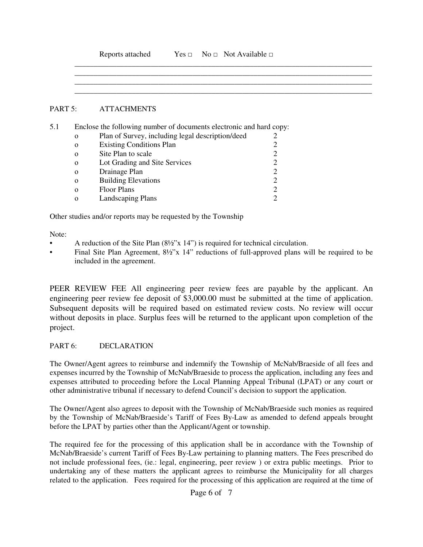|         |              | Reports attached                                                    |  | $Yes \Box \qquad No \Box \qquad Not \; Available \Box$ |   |  |
|---------|--------------|---------------------------------------------------------------------|--|--------------------------------------------------------|---|--|
|         |              |                                                                     |  |                                                        |   |  |
|         |              |                                                                     |  |                                                        |   |  |
| PART 5: |              | <b>ATTACHMENTS</b>                                                  |  |                                                        |   |  |
|         |              |                                                                     |  |                                                        |   |  |
| 5.1     |              | Enclose the following number of documents electronic and hard copy: |  |                                                        |   |  |
|         | $\mathbf{o}$ | Plan of Survey, including legal description/deed                    |  |                                                        |   |  |
|         | $\mathbf{O}$ | <b>Existing Conditions Plan</b>                                     |  |                                                        | 2 |  |

ο Lot Grading and Site Services 2 o Drainage Plan 2<br>
o Building Elevations 2 ο Building Elevations 2 ο Floor Plans 2 ο Landscaping Plans 2

Other studies and/or reports may be requested by the Township

Note:

- A reduction of the Site Plan (8½"x 14") is required for technical circulation.
- Final Site Plan Agreement, 8½"x 14" reductions of full-approved plans will be required to be included in the agreement.

PEER REVIEW FEE All engineering peer review fees are payable by the applicant. An engineering peer review fee deposit of \$3,000.00 must be submitted at the time of application. Subsequent deposits will be required based on estimated review costs. No review will occur without deposits in place. Surplus fees will be returned to the applicant upon completion of the project.

### PART 6: DECLARATION

The Owner/Agent agrees to reimburse and indemnify the Township of McNab/Braeside of all fees and expenses incurred by the Township of McNab/Braeside to process the application, including any fees and expenses attributed to proceeding before the Local Planning Appeal Tribunal (LPAT) or any court or other administrative tribunal if necessary to defend Council's decision to support the application.

The Owner/Agent also agrees to deposit with the Township of McNab/Braeside such monies as required by the Township of McNab/Braeside's Tariff of Fees By-Law as amended to defend appeals brought before the LPAT by parties other than the Applicant/Agent or township.

The required fee for the processing of this application shall be in accordance with the Township of McNab/Braeside's current Tariff of Fees By-Law pertaining to planning matters. The Fees prescribed do not include professional fees, (ie.: legal, engineering, peer review ) or extra public meetings. Prior to undertaking any of these matters the applicant agrees to reimburse the Municipality for all charges related to the application. Fees required for the processing of this application are required at the time of